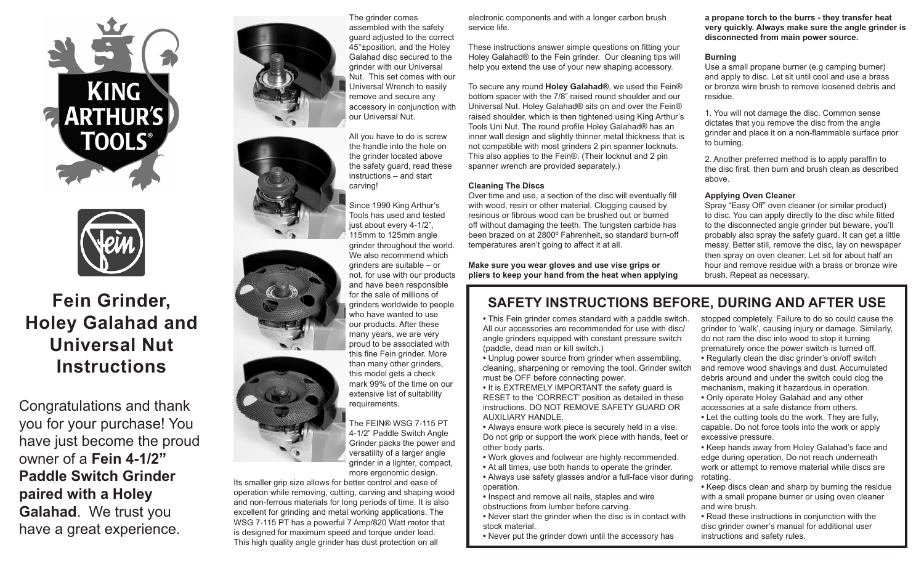



# **Fein Grinder, Holey Galahad and Universal Nut Instructions**

Congratulations and thank you for your purchase! You have just become the proud owner of a **Fein 4-1/2" Paddle Switch Grinder paired with a Holey Galahad**. We trust you have a great experience.





The grinder comes assembled with the safety guard adjusted to the correct 45°±position, and the Holey Galahad disc secured to the grinder with our Universal Nut. This set comes with our Universal Wrench to easily remove and secure any accessory in conjunction with our Universal Nut.

All you have to do is screw the handle into the hole on the grinder located above the safety guard, read these instructions – and start carving!

Since 1990 King Arthur's Tools has used and tested just about every 4-1/2", 115mm to 125mm angle grinder throughout the world. We also recommend which grinders are suitable – or not, for use with our products and have been responsible for the sale of millions of grinders worldwide to people who have wanted to use our products. After these many years, we are very proud to be associated with this fine Fein grinder. More than many other grinders, this model gets a check mark 99% of the time on our extensive list of suitability requirements.

The FEIN® WSG 7-115 PT 4-1/2" Paddle Switch Angle Grinder packs the power and versatility of a larger angle grinder in a lighter, compact, more ergonomic design.

Its smaller grip size allows for better control and ease of operation while removing, cutting, carving and shaping wood and non-ferrous materials for long periods of time. It is also excellent for grinding and metal working applications. The WSG 7-115 PT has a powerful 7 Amp/820 Watt motor that is designed for maximum speed and torque under load. This high quality angle grinder has dust protection on all

electronic components and with a longer carbon brush service life.

These instructions answer simple questions on fitting your Holey Galahad® to the Fein grinder. Our cleaning tips will help you extend the use of your new shaping accessory.

To secure any round **Holey Galahad®**, we used the Fein® bottom spacer with the 7/8" raised round shoulder and our Universal Nut. Holey Galahad® sits on and over the Fein® raised shoulder, which is then tightened using King Arthur's Tools Uni Nut. The round profile Holey Galahad® has an inner wall design and slightly thinner metal thickness that is not compatible with most grinders 2 pin spanner locknuts. This also applies to the Fein®. (Their locknut and 2 pin spanner wrench are provided separately.)

#### **Cleaning The Discs**

Over time and use, a section of the disc will eventually fill with wood, resin or other material. Clogging caused by resinous or fibrous wood can be brushed out or burned off without damaging the teeth. The tungsten carbide has been brazed on at 2800º Fahrenheit, so standard burn-off temperatures aren't going to affect it at all.

**Make sure you wear gloves and use vise grips or pliers to keep your hand from the heat when applying**  **a propane torch to the burrs - they transfer heat very quickly. Always make sure the angle grinder is disconnected from main power source.** 

#### **Burning**

Use a small propane burner (e.g camping burner) and apply to disc. Let sit until cool and use a brass or bronze wire brush to remove loosened debris and residue.

1. You will not damage the disc. Common sense dictates that you remove the disc from the angle grinder and place it on a non-flammable surface prior to burning.

2. Another preferred method is to apply paraffin to the disc first, then burn and brush clean as described above.

#### **Applying Oven Cleaner**

Spray "Easy Off" oven cleaner (or similar product) to disc. You can apply directly to the disc while fitted to the disconnected angle grinder but beware, you'll probably also spray the safety guard. It can get a little messy. Better still, remove the disc, lay on newspaper then spray on oven cleaner. Let sit for about half an hour and remove residue with a brass or bronze wire brush. Repeat as necessary.

## **SAFETY INSTRUCTIONS BEFORE, DURING AND AFTER USE**

**•** This Fein grinder comes standard with a paddle switch. All our accessories are recommended for use with disc/ angle grinders equipped with constant pressure switch (paddle, dead man or kill switch.)

**•** Unplug power source from grinder when assembling, cleaning, sharpening or removing the tool. Grinder switch must be OFF before connecting power.

**•** It is EXTREMELY IMPORTANT the safety guard is RESET to the 'CORRECT' position as detailed in these instructions. DO NOT REMOVE SAFETY GUARD OR AUXILIARY HANDLE.

**•** Always ensure work piece is securely held in a vise. Do not grip or support the work piece with hands, feet or other body parts.

- Work gloves and footwear are highly recommended.
- At all times, use both hands to operate the grinder.
- Always use safety glasses and/or a full-face visor during operation.
- Inspect and remove all nails, staples and wire obstructions from lumber before carving.
- Never start the grinder when the disc is in contact with stock material.
- Never put the grinder down until the accessory has

stopped completely. Failure to do so could cause the grinder to 'walk', causing injury or damage. Similarly, do not ram the disc into wood to stop it turning prematurely once the power switch is turned off. **•** Regularly clean the disc grinder's on/off switch and remove wood shavings and dust. Accumulated debris around and under the switch could clog the mechanism, making it hazardous in operation. **•** Only operate Holey Galahad and any other accessories at a safe distance from others. **•** Let the cutting tools do the work. They are fully, capable. Do not force tools into the work or apply excessive pressure.

**•** Keep hands away from Holey Galahad's face and edge during operation. Do not reach underneath work or attempt to remove material while discs are rotating.

**•** Keep discs clean and sharp by burning the residue with a small propane burner or using oven cleaner and wire brush.

**•** Read these instructions in conjunction with the disc grinder owner's manual for additional user instructions and safety rules.